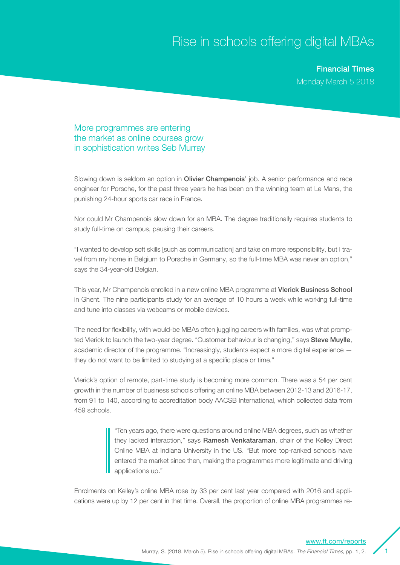## Rise in schools offering digital MBAs

Financial Times Monday March 5 2018

## More programmes are entering the market as online courses grow in sophistication writes Seb Murray

Slowing down is seldom an option in **Olivier Champenois'** job. A senior performance and race engineer for Porsche, for the past three years he has been on the winning team at Le Mans, the punishing 24-hour sports car race in France.

Nor could Mr Champenois slow down for an MBA. The degree traditionally requires students to study full-time on campus, pausing their careers.

"I wanted to develop soft skills [such as communication] and take on more responsibility, but I travel from my home in Belgium to Porsche in Germany, so the full-time MBA was never an option," says the 34-year-old Belgian.

This year, Mr Champenois enrolled in a new online MBA programme at Vlerick Business School in Ghent. The nine participants study for an average of 10 hours a week while working full-time and tune into classes via webcams or mobile devices.

The need for flexibility, with would-be MBAs often juggling careers with families, was what prompted Vlerick to launch the two-year degree. "Customer behaviour is changing," says **Steve Muylle**, academic director of the programme. "Increasingly, students expect a more digital experience they do not want to be limited to studying at a specific place or time."

Vlerick's option of remote, part-time study is becoming more common. There was a 54 per cent growth in the number of business schools offering an online MBA between 2012-13 and 2016-17, from 91 to 140, according to accreditation body AACSB International, which collected data from 459 schools.

> "Ten years ago, there were questions around online MBA degrees, such as whether they lacked interaction," says Ramesh Venkataraman, chair of the Kelley Direct Online MBA at Indiana University in the US. "But more top-ranked schools have entered the market since then, making the programmes more legitimate and driving applications up."

Enrolments on Kelley's online MBA rose by 33 per cent last year compared with 2016 and applications were up by 12 per cent in that time. Overall, the proportion of online MBA programmes re-